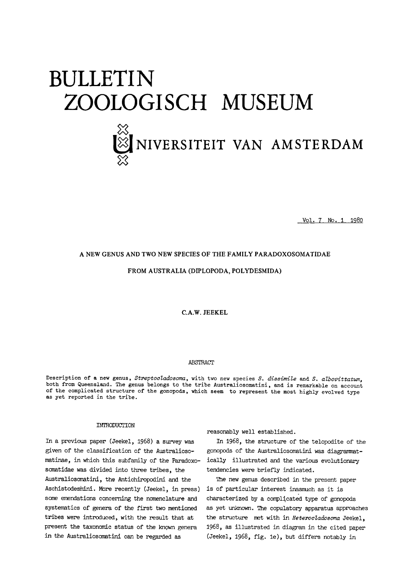# BULLETIN<br>ZOOLOGISCH MUSEUM  $\chi$

# **X** NIVERSITEIT VAN AMSTERDAM  $\chi$

Vol. <sup>7</sup> No. <sup>1</sup> 1980

# A NEW GENUS AND TWO NEW SPECIES OF THE FAMILY PARADOXOSOMATIDAE

# FROM AUSTRALIA (DIPLOPODA, POLYDESMIDA)

C.A.W. JEEKEL

#### **ABSTRACT**

Description of a new genus, Streptocladosoma, with two new species S. dissimile and S. albovittatum, both from Queensland. The genus belongs to the tribe Australiosomatini, and is remarkable on account of the complicated structure of the gonopods, which seem to represent the most highly evolved type as yet reported in the tribe.

# INTRODUCTION

In <sup>a</sup> previous paper (Jeekel, 1968) <sup>a</sup> survey was given of the classification of the Australiosomatinae, in which this subfamily of the Paradoxosomatidae was divided into three tribes, the Australiosomatini, the Antichiropodini and the Aschistodesmini. More recently (Jeekel, in press) some emendations concerning the nomenclature and systematics of genera of the first two mentioned tribes were introduced, with the result that at present the taxonomic status of the known genera in the Australiosomatini can be regarded as

reasonably well established.

In 1968, the structure of the telopodite of the gonopods of the Australiosomatini was diagrammatically illustrated and the various evolutionary tendencies were briefly indicated.

The new genus described in the present paper is of particular interest inasmuch as it is characterized by a complicated type of gonopods as yet unknown. The copulatory apparatus approaches the structure met with in Heterocladosoma Jeekel, 1968, as illustrated in diagram in the cited paper (Jeekel, 1968, fig. le), but differs notably in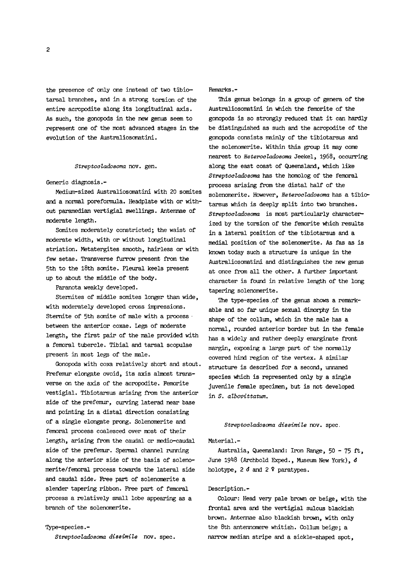the presence of only one instead of two tibiotarsal branches, and in <sup>a</sup> strong torsion of the entire acropodite along its longitudinal axis. As such, the gonopods in the new genus seem to represent one of the most advanced stages in the evolution of the Australiosomatini.

#### Streptocladosoma nov. gen.

#### Generic diagnosis.-

Medium-sized Australiosomatini with <sup>20</sup> somites and <sup>a</sup> normal poreformula. Headplate with or without paramedian vertigial swellings. Antennae of moderate length.

Somites moderately constricted; the waist of moderate width, with or without longitudinal striation. Metatergites smooth, hairless or with few setae. Transverse furrow present from the 5th to the 18th somite. Pleural keels present up to about the middle of the body.

Paranota weakly developed.

Stemites of middle somites longer than wide, with moderately developed cross impressions. Stemite of 5th somite of male with a process between the anterior coxae. Legs of moderate length, the first pair of the male provided with a femoral tubercle. Tibial and tarsal scopulae present in most legs of the male.

Gonopods with coxa relatively short and stout. Prefemur elongate ovoid, its axis almost transverse on the axis of the acropodite. Femorite vestigial. Tibiotarsus arising from the anterior side of the prefemur, curving laterad near base and pointing in a distal direction consisting of a single elongate prong. Solenomerite and femoral process coalesced over most of their length, arising from the caudal or medio-caudal side of the prefemur. Spermal channel running along the anterior side of the basis of solenomerite/femoral process towards the lateral side and caudal side. Free part of solenomerite a slender tapering ribbon. Free part of femoral process a relatively small lobe appearing as <sup>a</sup> branch of the solenomerite.

#### Type-species.-

Streptocladosoma dissimile nov. spec.

#### Remarks.-

Ihis genus belongs in a group of genera of the Australiosomatini in which the femorite of the gonopods is so strongly reduced that it can hardly be distinguished as such and the acropodite of the gonopods consists mainly of the tibiotarsus and the solenomerite. Within this group it may come nearest to *Heterocladosoma* Jeekel, 1968, occurring along the east coast of Queensland, which like Streptocladosoma has the homolog of the femoral process arising from the distal half of the solenomerite. However, *Heterocladosoma* has a tibiotarsus which is deeply split into two branches. Streptocladosoma is most particularly characterized by the torsion of the femorite which results in <sup>a</sup> lateral position of the tibiotarsus and a medial position of the solenomerite. As fas as is known today such a structure is unique in the Australiosomatini and distinguishes the new genus at once from all the other. <sup>A</sup> further important character is found in relative length of the long tapering solenomerite.

The type-species .of the genus shows a remarkable and so far unique sexual dimorphy in the shape of the collum, which in the male has <sup>a</sup> normal, rounded anterior border but in the female has a widely and rather deeply emarginate front margin, exposing a large part of the normally covered hind region of the vertex. <sup>A</sup> similar structure is described for a second, unnamed species which is represented only by a single juvenile female specimen, but is not developed in S. albovittatum.

#### Streptocladosoma dissimile nov. spec.

# Material.-

Australia, Queensland: Iron Range, <sup>50</sup> - <sup>75</sup> ft, June 1948 (Archbold Exped., Museum New York),  $\delta$ holotype, <sup>2</sup> <sup>d</sup> and <sup>2</sup> <sup>9</sup> paratypes.

#### Description.-

Colour: Head very pale brown or beige, with the frontal area and the vertigial sulcus blackish brown. Antennae also blackish brown, with only the 8th antennomere whitish. Collum beige; a narrow median stripe and a sickle-shaped spot,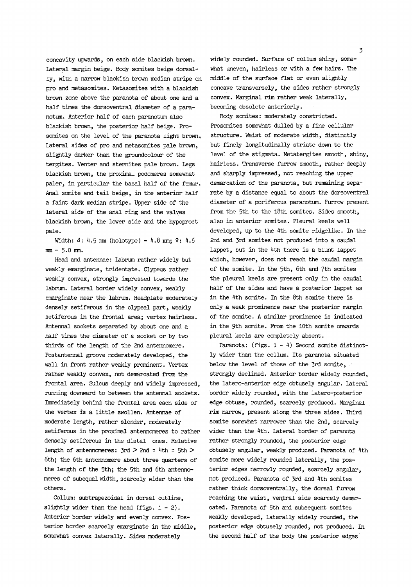concavity upwards, on each side blackish brown. Lateral margin beige. Body somites beige dorsally, with <sup>a</sup> narrow blackish brown median stripe on pro and metasomites. Metasomites with a blackish brown zone above the paranota of about one and a half times the dorsoventral diameter of a paranotum. Anterior half of each paranotum also blackish brown, the posterior half beige. Prosomites on the level of the paranota light brown, lateral sides of pro and metasomites pale brown, slightly darker than the groundcolour of the tergites. Venter and sternites pale brown. Legs blackish brown, the proximal podomeres somewhat paler, in particular the basal half of the femur. Anal somite and tail beige, in the anterior half <sup>a</sup> faint dark median stripe. Upper side of the lateral side of the anal ring and the valves blackish brown, the lower side and the hypoproct pale.

Width:  $3: 4.5 \text{ mm}$  (holotype) -  $4.8 \text{ mm}$ ;  $9: 4.6$ mm - 5-0 mm.

Head and antennae: Labrum rather widely but weakly emarginate, tridentate. Clypeus rather weakly convex, strongly impressed towards the labrum. Lateral border widely convex, weakly emarginate near the labrum. Headplate moderately densely setiferous in the clypeal part, weakly setiferous in the frontal area; vertex hairless. Antennal sockets separated by about one and a half times the diameter of a socket or by two thirds of the length of the 2nd antennomere. Postantennal groove moderately developed, the wall in front rather weakly prominent. Vertex rather weakly convex, not demarcated from the frontal area. Sulcus deeply and widely impressed, running downward to between the antennal sockets. Immediately behind the frontal area each side of the vertex is <sup>a</sup> little swollen. Antennae of moderate length, rather slender, moderately setiferous in the proximal antennomeres to rather densely setiferous in the distal ones. Relative length of antennomeres:  $3rd > 2nd = 4th = 5th >$ 6th; the 6th antennomere about three quarters of the length of the 5th; the 5th and 6th antennomeres of subequal width, scarcely wider than the others.

Collum: subtrapezoidal in dorsal outline, slightly wider than the head (figs.  $1 - 2$ ). Anterior border widely and evenly convex. Posterior border scarcely emarginate in the middle, somewhat convex laterally. Sides moderately

widely rounded. Surface of collum shiny, somewhat uneven, hairless or with <sup>a</sup> few hairs. The middle of the surface flat or even slightly concave transversely, the sides rather strongly convex. Marginal rim rather weak laterally,

becoming obsolete anteriorly.

Body somites: moderately constricted. Prosomites somewhat dulled by <sup>a</sup> fine cellular structure. Waist of moderate width, distinctly but finely longitudinally striate down to the level of the stignata. Metatergites smooth, shiny, hairless. Transverse furrow smooth, rather deeply and sharply impressed, not reaching the upper demarcation of the paranota, but remaining separate by a distance equal to about the dorsoventral diameter of a poriferous paranotum. Furrow present from the 5th to the 18th somites. Sides smooth, also in anterior somites. Pleural keels well developed, up to the 4th somite ridgelike. In the 2nd and 3rd somites not produced into a caudal lappet, but in the 4th there is <sup>a</sup> blunt lappet which, however, does not reach the caudal margin of the somite. In the 5th, 6th and 7th somites the pleural keels are present only in the caudal half of the sides and have a posterior lappet as in the 4th somite. In the 8th somite there is only a weak prominence near the posterior margin of the somite. <sup>A</sup> similar prominence is indicated in the 9th somite. Prom the 10th somite onwards pleural keels are completely absent.

Paranota: (figs. 1 - 4) Second somite distinctly wider than the collum. Its paranota situated below the level of those of the 3rd somite, strongly declined. Anterior border widely rounded, the latero-anterior edge obtusely angular. Lateral border widely rounded, with the latero-posterior edge obtuse, rounded, scarcely produced. Marginal rim narrow, present along the three sides. Third somite somewhat narrower than the 2nd, scarcely wider than the 4th. Lateral border of paranota rather strongly rounded, the posterior edge obtusely angular, weakly produced. Paranota of 4th somite more widely rounded laterally, the posterior edges narrowly rounded, scarcely angular, not produced. Paranota of 3rd and 4th somites rather thick dorsoventrally, the dorsal furrow reaching the waist, ventral side scarcely demarcated. Paranota of 5th and subsequent somites weakly developed, laterally widely rounded, the posterior edge obtusely rounded, not produced. In the second half of the body the posterior edges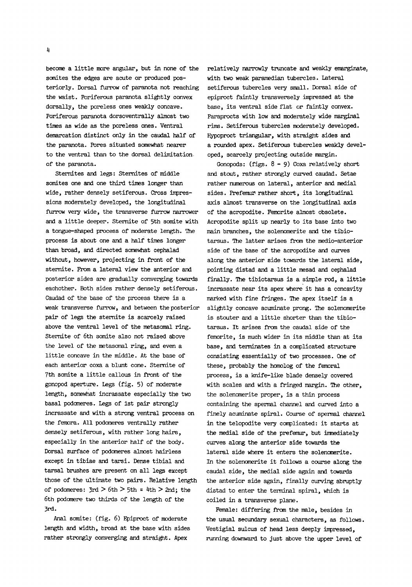become <sup>a</sup> little more angular, but in none of the somites the edges are acute or produced posteriorly. Dorsal furrow of paranota not reaching the waist. Poriferous paranota slightly convex dorsally, the poreless ones weakly concave. Poriferous paranota dorsoventrally almost two times as wide as the poreless ones. Ventral demarcation distinct only in the caudal half of the paranota. Pores situated somewhat nearer to the ventral than to the dorsal delimitation of the paranota.

Sternites and legs: Sternites of middle somites one and one third times longer than wide, rather densely setiferous. Cross impressions moderately developed, the longitudinal furrow very wide, the transverse furrow narrower and <sup>a</sup> little deeper. Stemite of 5th somite with a tongue-shaped process of moderate length. The process is about one and a half times longer than broad, and directed somewhat cephalad without, however, projecting in front of the sternite. From a lateral view the anterior and posterior sides are gradually converging towards eachother. Both sides rather densely setiferous. Caudad of the base of the process there is a weak transverse furrow, and between the posterior pair of legs the stemite is scarcely raised above the ventral level of the metasomal ring. Sternite of 6th somite also not raised above the level of the metasomal ring, and even a little concave in the middle. At the base of each anterior coxa <sup>a</sup> blunt cone. Sternite of 7th somite a little callous in front of the gonopod aperture. Legs (fig. 5) of moderate length, somewhat incrassate especially the two basal podomeres. Legs of 1st pair strongly incrassate and with a strong ventral process on the femora. All podomeres ventrally rather densely setiferous, with rather long hairs, especially in the anterior half of the body. Dorsal surface of podomeres almost hairless except in tibiae and tarsi. Dense tibial and tarsal brushes are present on all legs except those of the ultimate two pairs. Relative length of podomeres:  $3rd > 6th > 5th = 4th > 2nd$ ; the 6th podomere two thirds of the length of the 3rd.

Anal somite: (fig. 6) Epiproct of moderate length and width, broad at the base with sides rather strongly converging and straight. Apex

relatively narrowly truncate and weakly emarginate with two weak paramedian tubercles. Lateral setiferous tubercles very small. Dorsal side of epiproct faintly transversely impressed at the base, its ventral side flat or faintly convex. Paraprocts with low and moderately wide marginal rims. Setiferous tubercles moderately developed. Hypoproct triangular, with straight sides and a rounded apex. Setiferous tubercles weakly developed, scarcely projecting outside margin.

Gonopods: (figs.  $8 - 9$ ) Coxa relatively short and stout, rather strongly curved caudad. Setae rather numerous on lateral, anterior and medial sides. Prefemur rather short, its longitudinal axis almost transverse on the longitudinal axis of the acropodite. Femorite almost obsolete. Acropodite split up nearly to its base into two main branches, the solenomerite and the tibiotarsus. The latter arises from the medio-anterior side of the base of the acropodite and curves along the anterior side towards the lateral side, pointing distad and <sup>a</sup> little mesad and cephalad finally. The tibiotarsus is <sup>a</sup> simple rod, <sup>a</sup> little incrassate near its apex where it has <sup>a</sup> concavity marked with fine fringes. The apex itself is <sup>a</sup> slightly concave acuminate prong. The solenomerite is stouter and <sup>a</sup> little shorter than the tibiotarsus. It arises from the caudal side of the femorite, is much wider in its middle than at its base, and terminates in a complicated structure consisting essentially of two processes. One of these, probably the homolog of the femoral process, is a knife-like blade densely covered with scales and with a fringed margin. The other, the solenomerite proper, is a thin process containing the spermal channel and curved into a finely acuminate spiral. Course of spermal channel in the telopodite very complicated: it starts at the medial side of the prefemur, but immediately curves along the anterior side towards the lateral side where it enters the solenomerite. In the solenomerite it follows <sup>a</sup> course along the caudal side, the medial side again and towards the anterior side again, finally curving abruptly distad to enter the terminal spiral, which is coiled in a transverse plane.

Female: differing from the male, besides in the usual secundary sexual characters, as follows. Vestigial sulcus of head less deeply impressed, running downward to just above the upper level of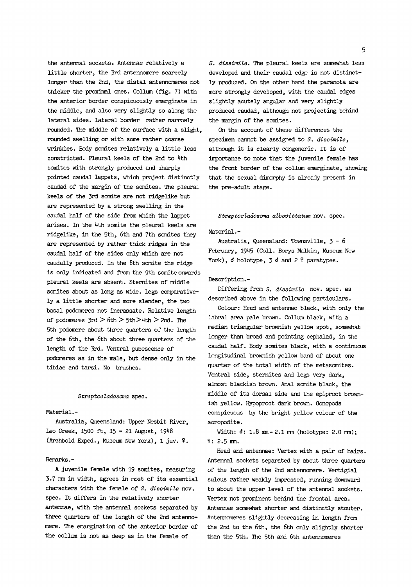the antennal sockets. Antennae relatively a little shorter, the 3rd antennomere scarcely longer than the 2nd, the distal antennomeres not thicker the proximal ones. Collum (fig. 7) with the anterior border conspicuously emarginate in the middle, and also very slightly so along the lateral sides. Lateral border rather narrowly rounded. The middle of the surface with a slight, rounded swelling or with some rather coarse wrinkles. Body somites relatively <sup>a</sup> little less constricted. Pleural keels of the 2nd to 4th somites with strongly produced and sharply pointed caudal lappets, which project distinctly caudad of the margin of the somites. The pleural keels of the 3rd somite are not ridgelike but are represented by <sup>a</sup> strong swelling in the caudal half of the side from which the lappet arises. In the 4th somite the pleural keels are ridgelike, in the 5th, 6th and 7th somites they are represented by rather thick ridges in the caudal half of the sides only which are not caudally produced. In the 8th somite the ridge is only indicated and from the 9th somite onwards pleural keels are absent. Sternites of middle somites about as long as wide. Legs conparatively <sup>a</sup> little shorter and more slender, the two basal podomeres not incrassate. Relative length of podomeres  $3rd > 6th > 5th > 4th > 2nd$ . The 5th podomere about three quarters of the length of the 6th, the 6th about three quarters of the length of the 3rd. Ventral pubescence of podomeres as in the male, but dense only in the tibiae and tarsi. No brushes.

#### Streptocladosoma spec.

# Material.-

Australia, Queensland: Upper Nesbit River, Leo Creek, <sup>1500</sup> ft, 15-21 August, (Archbold Exped., Museum New York), <sup>1</sup> juv. 9.

#### Remarks.-

<sup>A</sup> juvenile female with <sup>19</sup> somites, measuring 3-7 mm in width, agrees in most of its essential characters with the female of S. dissimile nov, spec. It differs in the relatively shorter antennae, with the antennal sockets separated by three quarters of the length of the 2nd antennomere. The emargination of the anterior border of the collum is not as deep as in the female of

S. dissimile. The pleural keels are somewhat less developed and their caudal edge is not distinctly produced. On the other hand the paranota are more strongly developed, with the caudal edges slightly acutely angular and very slightly produced caudad, although not projecting behind the margin of the somites.

On the account of these differences the specimen cannot be assigned to S. dissimile, although it is clearly congeneric. It is of importance to note that the juvenile female has the front border of the collum emarginate, showirg that the sexual dimorphy is already present in the pre-adult stage.

#### Streptocladosoma albovittatum nov. spec.

#### Material.-

Australia, Queensland: Townsville, 3-6 February, 1945 (Coll. Borys Malkin, Museum New York),  $\delta$  holotype,  $\delta$  and  $2$   $\epsilon$  paratypes.

# Description.-

Differing from S. dissimile nov. spec, as described above in the following particulars.

Colour: Head and antennae black, with only the labral area pale brown. Collum black, with <sup>a</sup> median triangular brownish yellow spot, somewhat longer than broad and pointing cephalad, in the caudal half. Body somites black, with a continuous longitudinal brownish yellow band of about one quarter of the total width of the metasomites. Ventral side, sternites and legs very dark, almost blackish brown. Anal somite black, the middle of its dorsal side and the epiproct brownish yellow. Hypoproct dark brown. Gonopods conspicuous by the bright yellow colour of the acropodite.

Width:  $d: 1.8$  mm-2.1 mm (holotype: 2.0 mm); 9: 2.5 mm.

Head and antennae: Vertex with a pair of hairs. Antennal sockets separated by about three quarters of the length of the 2nd antennomere. Vertigial sulcus rather weakly impressed, running downward to about the upper level of the antennal sockets. Vertex not prominent behind the frontal area. Antennae somewhat shorter and distinctly stouter. Antennomeres slightly decreasing in length from the 2nd to the 6th, the 6th only slightly shorter than the 5th. The 5th and 6th antennomeres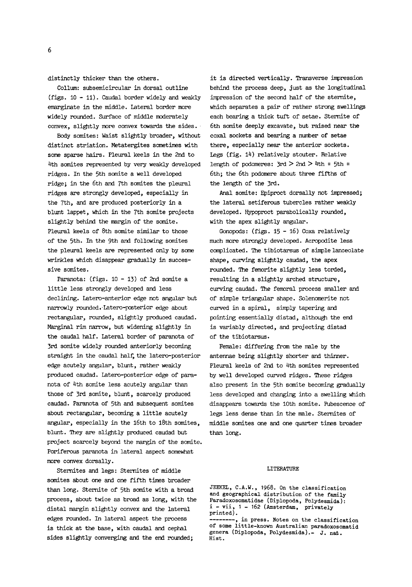distinctly thicker than the others.

Collum: subsemicircular in dorsal outline (figs. <sup>10</sup> - 11). Caudal border widely and weakly emarginate in the middle. Lateral border more widely rounded. Surface of middle moderately convex, slightly more convex towards the sides.

Body somites: Waist slightly broader, without distinct striation. Metatergites sometimes with some sparse hairs. Pleural keels in the 2nd to 4th somites represented by very weakly developed ridges. In the 5th somite a well developed ridge; in the 6th and 7th somites the pleural ridges are strongly developed, especially in the 7th, and are produced posteriorly in a blunt lappet, which in the 7th somite projects slightly behind the margin of the somite. Pleural keels of 8th somite similar to those of the 5th. In the 9th and following somites the pleural keels are represented only by some wrinkles which disappear gradually in successive somites.

Paranota: (figs. <sup>10</sup> - 13) of 2nd somite a little less strongly developed and less declining. Latero-anterior edge not angular but narrowly rounded. Latero-posterior edge about rectangular, rounded, slightly produced caudad. Marginal rim narrow, but widening slightly in the caudal half. Lateral border of paranota of 3rd somite widely rounded anteriorly becoming straight in the caudal half, the latero-posterior edge acutely angular, blunt, rather weakly produced caudad. Latero-posterior edge of paranota of 4th somite less acutely angular than those of 3rd somite, blunt, scarcely produced caudad. Paranota of 5th and subsequent somites about rectangular, becoming <sup>a</sup> little acutely angular, especially in the 16th to 18th somites, blunt. They are slightly produced caudad but project scarcely beyond the margin of the somite. Poriferous paranota in lateral aspect somewhat more convex dorsally.

Sternites and legs: Sternites of middle somites about one and one fifth times broader than long. Sternite of 5th somite with a broad process, about twice as broad as long, with the distal margin slightly convex and the lateral edges rounded. In lateral aspect the process is thick at the base, with caudal and cephal sides slightly converging and the end rounded;

it is directed vertically. Transverse impression behind the process deep, just as the longitudinal impression of the second half of the sternite, which separates a pair of rather strong swellings each bearing <sup>a</sup> thick tuft of setae. Sternite of 6th somite deeply excavate, but raised near the coxal sockets and bearing a number of setae there, especially near the anterior sockets. Legs (fig. 14) relatively stouter. Relative length of podomeres:  $3rd > 2nd > 4th = 5th$ 6th; the 6th podomere about three fifths of the length of the 3rd.

Anal somite: Epiproct dorsally not impressed; the lateral setiferous tubercles rather weakly developed. Hypoproct parabolically rounded, with the apex slightly angular.

Gonopods: (figs. <sup>15</sup> - 16) Coxa relatively much more strongly developed. Acropodite less complicated. The tibiotarsus of simple lanceolate shape, curving slightly caudad, the apex rounded. The femorite slightly less torded, resulting in a slightly arched structure, curving caudad. The femoral process smaller and of simple triangular shape. Solenomerite not curved in a spiral, simply tapering and pointing essentially distad, although the end is variably directed, and projecting distad of the tibiotarsus.

Female: differing from the male by the antennae being slightly shorter and thinner. Pleural keels of 2nd to 4th somites represented by well developed curved ridges. These ridges also present in the 5th somite becoming gradually less developed and changing into <sup>a</sup> swelling which disappears towards the 10th somite. Pubescence of legs less dense than in the male. Sternites of middle somites one and one quarter times broader than long.

#### LITERATURE

JEEKEL, C.A.W., 1968. On the classification and geographical distribution of the family Paradoxosomatidae (Diplopoda, Polydesmida): i -vii, <sup>1</sup> - <sup>162</sup> (Amsterdam, privately printed). , in press. Notes on the classification of some little-known Australian paradoxosomatid genera (Diplopoda, Polydesmida).- J. nat. Hist.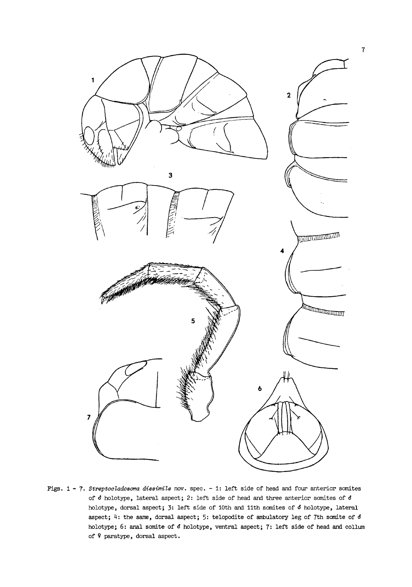

Figs. 1 - 7. Streptocladosoma dissimile nov. spec. - 1: left side of head and four anterior somites<br>of 6 holotype, lateral aspect; 2: left side of head and three anterior somites of 6 of  $\delta$  holotype, lateral aspect; 2: left side of head and three anterior somites of  $\delta$  holotype, dorsal aspect; 3: left side of 10th and 11th somites of  $\delta$  holotype, lateral aspect; 4: the same, dorsal aspect; 5: telopodite of ambulatory leg of 7th somite of 6 holotype; 6: anal somite of  $d$  holotype, ventral aspect; 7: left side of head and collum of ? paratype, dorsal aspect.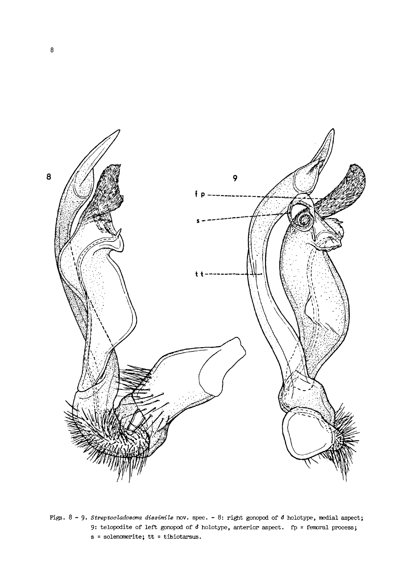

Figs. 8 - 9. Streptocladosoma dissimile nov. spec. - 8: right gonopod of  $\delta$  holotype, medial aspect; 9: telopodite of left gonopod of  $\delta$  holotype, anterior aspect. fp = femoral process; <sup>s</sup> <sup>=</sup> solenomerite; tt <sup>=</sup> tibiotarsus.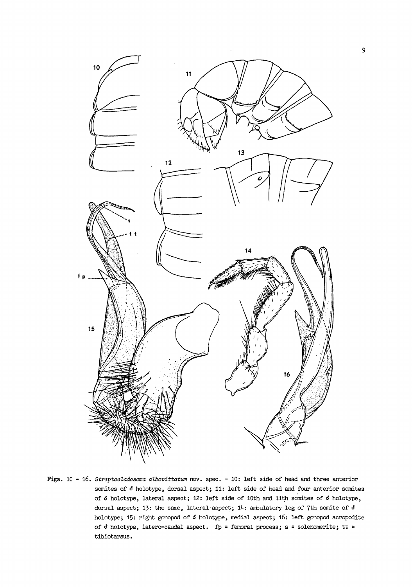

Figs. 10 - 16. Streptocladosoma albovittatum nov. spec. - 10: left side of head and three anterior somites of  $d$  holotype, dorsal aspect; 11: left side of head and four anterior somites of  $\delta$  holotype, lateral aspect; 12: left side of 10th and 11th somites of  $\delta$  holotype, dorsal aspect; 13: the same, lateral aspect;  $14$ : ambulatory leg of 7th somite of  $d$ holotype; 15: right gonopod of  $d$  holotype, medial aspect; 16: left gonopod acropodite of  $d$  holotype, latero-caudal aspect. fp = femoral process; s = solenomerite; tt = tibiotarsus.